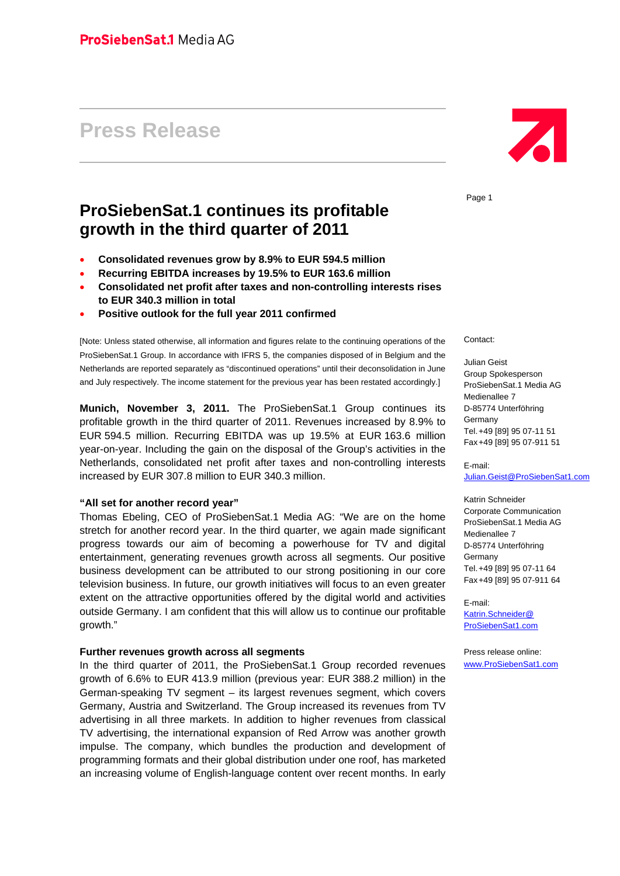# **Press Release**

# **ProSiebenSat.1 continues its profitable growth in the third quarter of 2011**

- **Consolidated revenues grow by 8.9% to EUR 594.5 million**
- **Recurring EBITDA increases by 19.5% to EUR 163.6 million**
- **Consolidated net profit after taxes and non-controlling interests rises to EUR 340.3 million in total**
- **Positive outlook for the full year 2011 confirmed**

[Note: Unless stated otherwise, all information and figures relate to the continuing operations of the ProSiebenSat.1 Group. In accordance with IFRS 5, the companies disposed of in Belgium and the Netherlands are reported separately as "discontinued operations" until their deconsolidation in June and July respectively. The income statement for the previous year has been restated accordingly.]

**Munich, November 3, 2011.** The ProSiebenSat.1 Group continues its profitable growth in the third quarter of 2011. Revenues increased by 8.9% to EUR 594.5 million. Recurring EBITDA was up 19.5% at EUR 163.6 million year-on-year. Including the gain on the disposal of the Group's activities in the Netherlands, consolidated net profit after taxes and non-controlling interests increased by EUR 307.8 million to EUR 340.3 million.

#### **"All set for another record year"**

Thomas Ebeling, CEO of ProSiebenSat.1 Media AG: "We are on the home stretch for another record year. In the third quarter, we again made significant progress towards our aim of becoming a powerhouse for TV and digital entertainment, generating revenues growth across all segments. Our positive business development can be attributed to our strong positioning in our core television business. In future, our growth initiatives will focus to an even greater extent on the attractive opportunities offered by the digital world and activities outside Germany. I am confident that this will allow us to continue our profitable growth."

#### **Further revenues growth across all segments**

In the third quarter of 2011, the ProSiebenSat.1 Group recorded revenues growth of 6.6% to EUR 413.9 million (previous year: EUR 388.2 million) in the German-speaking TV segment – its largest revenues segment, which covers Germany, Austria and Switzerland. The Group increased its revenues from TV advertising in all three markets. In addition to higher revenues from classical TV advertising, the international expansion of Red Arrow was another growth impulse. The company, which bundles the production and development of programming formats and their global distribution under one roof, has marketed an increasing volume of English-language content over recent months. In early



Page 1

Contact:

Julian Geist Group Spokesperson ProSiebenSat.1 Media AG Medienallee 7 D-85774 Unterföhring Germany Tel. +49 [89] 95 07-11 51 Fax +49 [89] 95 07-911 51

E-mail: Julian.Geist@ProSiebenSat1.com

Katrin Schneider Corporate Communication ProSiebenSat.1 Media AG Medienallee 7 D-85774 Unterföhring Germany Tel. +49 [89] 95 07-11 64 Fax +49 [89] 95 07-911 64

E-mail: Katrin.Schneider@ ProSiebenSat1.com

Press release online: www.ProSiebenSat1.com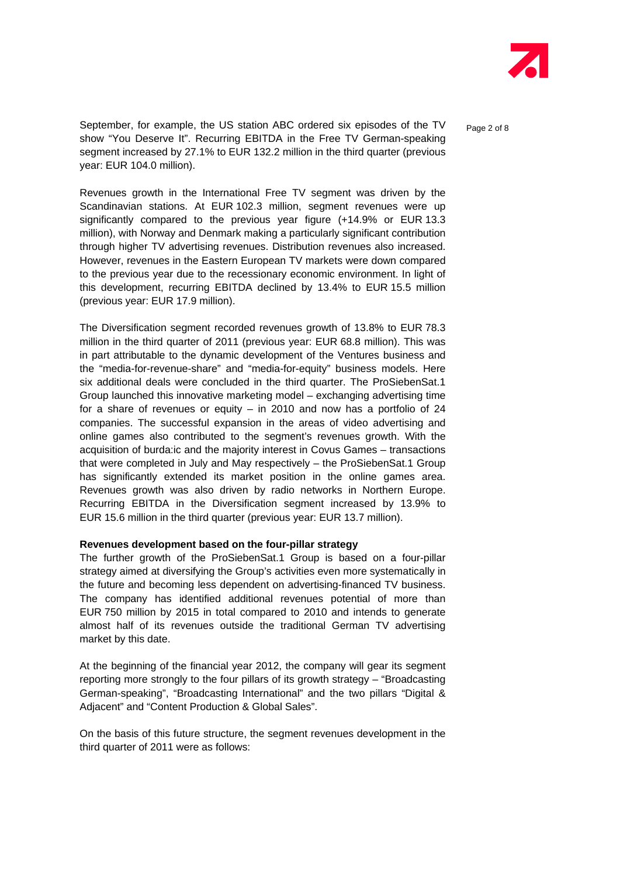

September, for example, the US station ABC ordered six episodes of the TV  $_{\text{Paqe 2 of 8}}$ show "You Deserve It". Recurring EBITDA in the Free TV German-speaking segment increased by 27.1% to EUR 132.2 million in the third quarter (previous year: EUR 104.0 million).

Revenues growth in the International Free TV segment was driven by the Scandinavian stations. At EUR 102.3 million, segment revenues were up significantly compared to the previous year figure (+14.9% or EUR 13.3 million), with Norway and Denmark making a particularly significant contribution through higher TV advertising revenues. Distribution revenues also increased. However, revenues in the Eastern European TV markets were down compared to the previous year due to the recessionary economic environment. In light of this development, recurring EBITDA declined by 13.4% to EUR 15.5 million (previous year: EUR 17.9 million).

The Diversification segment recorded revenues growth of 13.8% to EUR 78.3 million in the third quarter of 2011 (previous year: EUR 68.8 million). This was in part attributable to the dynamic development of the Ventures business and the "media-for-revenue-share" and "media-for-equity" business models. Here six additional deals were concluded in the third quarter. The ProSiebenSat.1 Group launched this innovative marketing model – exchanging advertising time for a share of revenues or equity – in 2010 and now has a portfolio of 24 companies. The successful expansion in the areas of video advertising and online games also contributed to the segment's revenues growth. With the acquisition of burda:ic and the majority interest in Covus Games – transactions that were completed in July and May respectively – the ProSiebenSat.1 Group has significantly extended its market position in the online games area. Revenues growth was also driven by radio networks in Northern Europe. Recurring EBITDA in the Diversification segment increased by 13.9% to EUR 15.6 million in the third quarter (previous year: EUR 13.7 million).

### **Revenues development based on the four-pillar strategy**

The further growth of the ProSiebenSat.1 Group is based on a four-pillar strategy aimed at diversifying the Group's activities even more systematically in the future and becoming less dependent on advertising-financed TV business. The company has identified additional revenues potential of more than EUR 750 million by 2015 in total compared to 2010 and intends to generate almost half of its revenues outside the traditional German TV advertising market by this date.

At the beginning of the financial year 2012, the company will gear its segment reporting more strongly to the four pillars of its growth strategy – "Broadcasting German-speaking", "Broadcasting International" and the two pillars "Digital & Adjacent" and "Content Production & Global Sales".

On the basis of this future structure, the segment revenues development in the third quarter of 2011 were as follows: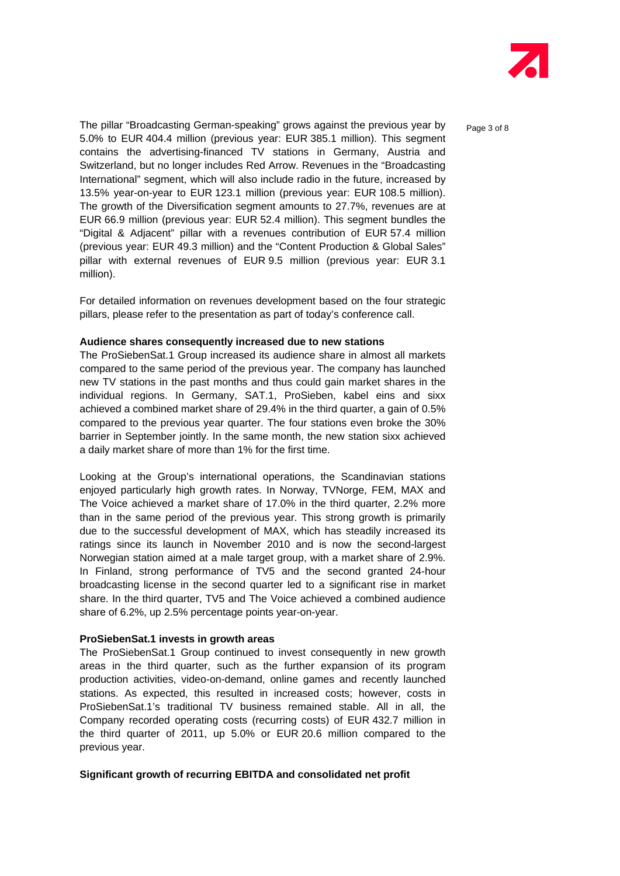

The pillar "Broadcasting German-speaking" grows against the previous year by  $P_{\text{a}ae 3 of 8}$ 5.0% to EUR 404.4 million (previous year: EUR 385.1 million). This segment contains the advertising-financed TV stations in Germany, Austria and Switzerland, but no longer includes Red Arrow. Revenues in the "Broadcasting International" segment, which will also include radio in the future, increased by 13.5% year-on-year to EUR 123.1 million (previous year: EUR 108.5 million). The growth of the Diversification segment amounts to 27.7%, revenues are at EUR 66.9 million (previous year: EUR 52.4 million). This segment bundles the "Digital & Adjacent" pillar with a revenues contribution of EUR 57.4 million (previous year: EUR 49.3 million) and the "Content Production & Global Sales" pillar with external revenues of EUR 9.5 million (previous year: EUR 3.1 million).

For detailed information on revenues development based on the four strategic pillars, please refer to the presentation as part of today's conference call.

#### **Audience shares consequently increased due to new stations**

The ProSiebenSat.1 Group increased its audience share in almost all markets compared to the same period of the previous year. The company has launched new TV stations in the past months and thus could gain market shares in the individual regions. In Germany, SAT.1, ProSieben, kabel eins and sixx achieved a combined market share of 29.4% in the third quarter, a gain of 0.5% compared to the previous year quarter. The four stations even broke the 30% barrier in September jointly. In the same month, the new station sixx achieved a daily market share of more than 1% for the first time.

Looking at the Group's international operations, the Scandinavian stations enjoyed particularly high growth rates. In Norway, TVNorge, FEM, MAX and The Voice achieved a market share of 17.0% in the third quarter, 2.2% more than in the same period of the previous year. This strong growth is primarily due to the successful development of MAX, which has steadily increased its ratings since its launch in November 2010 and is now the second-largest Norwegian station aimed at a male target group, with a market share of 2.9%. In Finland, strong performance of TV5 and the second granted 24-hour broadcasting license in the second quarter led to a significant rise in market share. In the third quarter, TV5 and The Voice achieved a combined audience share of 6.2%, up 2.5% percentage points year-on-year.

#### **ProSiebenSat.1 invests in growth areas**

The ProSiebenSat.1 Group continued to invest consequently in new growth areas in the third quarter, such as the further expansion of its program production activities, video-on-demand, online games and recently launched stations. As expected, this resulted in increased costs; however, costs in ProSiebenSat.1's traditional TV business remained stable. All in all, the Company recorded operating costs (recurring costs) of EUR 432.7 million in the third quarter of 2011, up 5.0% or EUR 20.6 million compared to the previous year.

### **Significant growth of recurring EBITDA and consolidated net profit**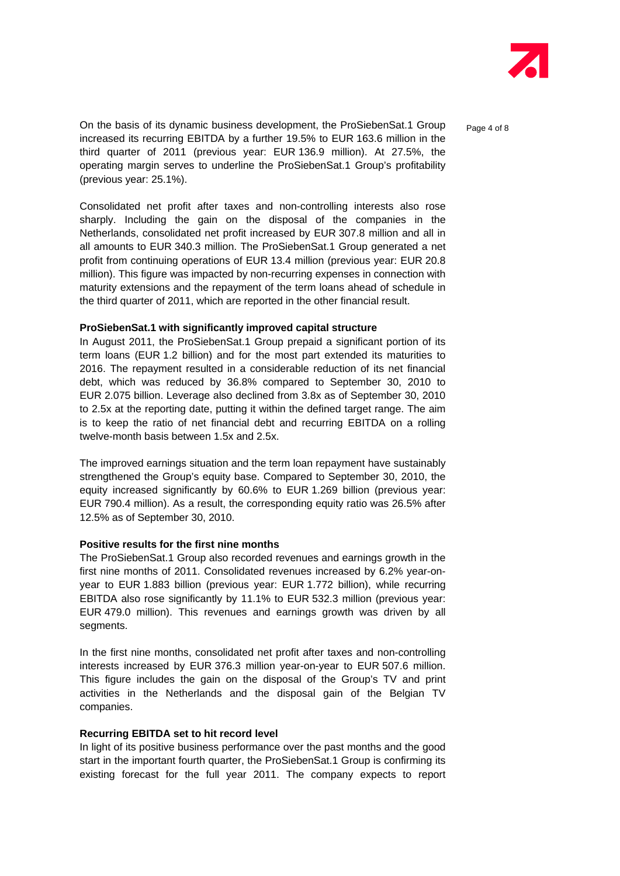

On the basis of its dynamic business development, the ProSiebenSat.1 Group  $P_{\text{a}ae 4 of 8}$ increased its recurring EBITDA by a further 19.5% to EUR 163.6 million in the third quarter of 2011 (previous year: EUR 136.9 million). At 27.5%, the operating margin serves to underline the ProSiebenSat.1 Group's profitability (previous year: 25.1%).

Consolidated net profit after taxes and non-controlling interests also rose sharply. Including the gain on the disposal of the companies in the Netherlands, consolidated net profit increased by EUR 307.8 million and all in all amounts to EUR 340.3 million. The ProSiebenSat.1 Group generated a net profit from continuing operations of EUR 13.4 million (previous year: EUR 20.8 million). This figure was impacted by non-recurring expenses in connection with maturity extensions and the repayment of the term loans ahead of schedule in the third quarter of 2011, which are reported in the other financial result.

# **ProSiebenSat.1 with significantly improved capital structure**

In August 2011, the ProSiebenSat.1 Group prepaid a significant portion of its term loans (EUR 1.2 billion) and for the most part extended its maturities to 2016. The repayment resulted in a considerable reduction of its net financial debt, which was reduced by 36.8% compared to September 30, 2010 to EUR 2.075 billion. Leverage also declined from 3.8x as of September 30, 2010 to 2.5x at the reporting date, putting it within the defined target range. The aim is to keep the ratio of net financial debt and recurring EBITDA on a rolling twelve-month basis between 1.5x and 2.5x.

The improved earnings situation and the term loan repayment have sustainably strengthened the Group's equity base. Compared to September 30, 2010, the equity increased significantly by 60.6% to EUR 1.269 billion (previous year: EUR 790.4 million). As a result, the corresponding equity ratio was 26.5% after 12.5% as of September 30, 2010.

#### **Positive results for the first nine months**

The ProSiebenSat.1 Group also recorded revenues and earnings growth in the first nine months of 2011. Consolidated revenues increased by 6.2% year-onyear to EUR 1.883 billion (previous year: EUR 1.772 billion), while recurring EBITDA also rose significantly by 11.1% to EUR 532.3 million (previous year: EUR 479.0 million). This revenues and earnings growth was driven by all segments.

In the first nine months, consolidated net profit after taxes and non-controlling interests increased by EUR 376.3 million year-on-year to EUR 507.6 million. This figure includes the gain on the disposal of the Group's TV and print activities in the Netherlands and the disposal gain of the Belgian TV companies.

#### **Recurring EBITDA set to hit record level**

In light of its positive business performance over the past months and the good start in the important fourth quarter, the ProSiebenSat.1 Group is confirming its existing forecast for the full year 2011. The company expects to report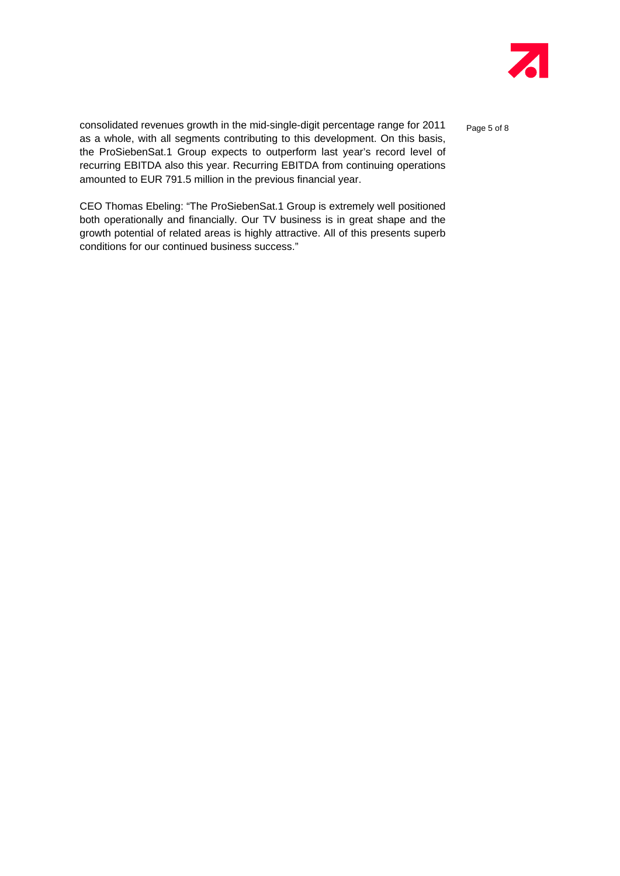

consolidated revenues growth in the mid-single-digit percentage range for 2011  $P_{\text{age 5 of 8}}$ as a whole, with all segments contributing to this development. On this basis, the ProSiebenSat.1 Group expects to outperform last year's record level of recurring EBITDA also this year. Recurring EBITDA from continuing operations amounted to EUR 791.5 million in the previous financial year.

CEO Thomas Ebeling: "The ProSiebenSat.1 Group is extremely well positioned both operationally and financially. Our TV business is in great shape and the growth potential of related areas is highly attractive. All of this presents superb conditions for our continued business success."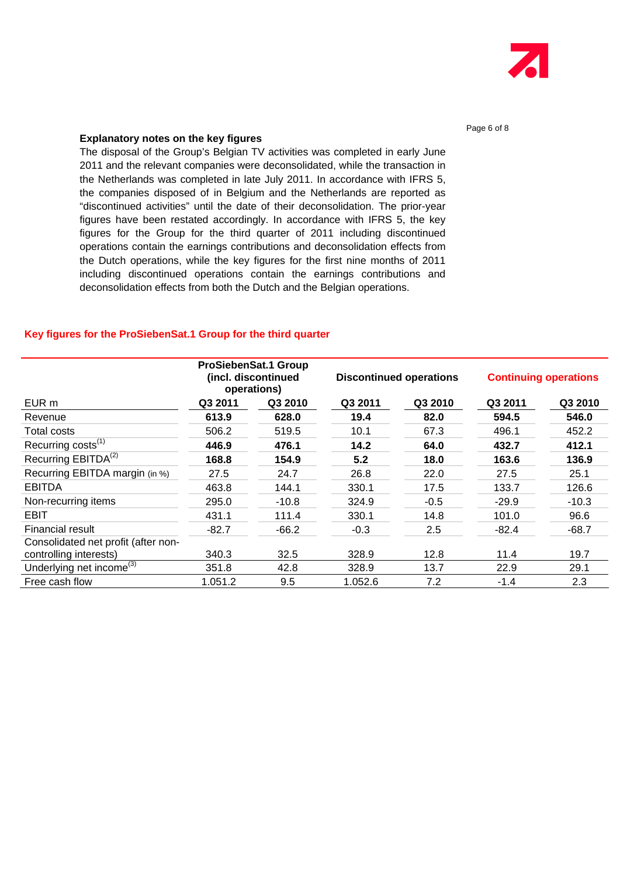

# **Explanatory notes on the key figures**

The disposal of the Group's Belgian TV activities was completed in early June 2011 and the relevant companies were deconsolidated, while the transaction in the Netherlands was completed in late July 2011. In accordance with IFRS 5, the companies disposed of in Belgium and the Netherlands are reported as "discontinued activities" until the date of their deconsolidation. The prior-year figures have been restated accordingly. In accordance with IFRS 5, the key figures for the Group for the third quarter of 2011 including discontinued operations contain the earnings contributions and deconsolidation effects from the Dutch operations, while the key figures for the first nine months of 2011 including discontinued operations contain the earnings contributions and deconsolidation effects from both the Dutch and the Belgian operations.

#### **Key figures for the ProSiebenSat.1 Group for the third quarter**

|                                      | ProSiebenSat.1 Group<br>(incl. discontinued<br>operations) |         | <b>Discontinued operations</b> |         | <b>Continuing operations</b> |         |
|--------------------------------------|------------------------------------------------------------|---------|--------------------------------|---------|------------------------------|---------|
| EUR m                                | Q3 2011                                                    | Q3 2010 | Q3 2011                        | Q3 2010 | Q3 2011                      | Q3 2010 |
| Revenue                              | 613.9                                                      | 628.0   | 19.4                           | 82.0    | 594.5                        | 546.0   |
| Total costs                          | 506.2                                                      | 519.5   | 10.1                           | 67.3    | 496.1                        | 452.2   |
| Recurring costs <sup>(1)</sup>       | 446.9                                                      | 476.1   | 14.2                           | 64.0    | 432.7                        | 412.1   |
| Recurring EBITDA <sup>(2)</sup>      | 168.8                                                      | 154.9   | 5.2                            | 18.0    | 163.6                        | 136.9   |
| Recurring EBITDA margin (in %)       | 27.5                                                       | 24.7    | 26.8                           | 22.0    | 27.5                         | 25.1    |
| <b>EBITDA</b>                        | 463.8                                                      | 144.1   | 330.1                          | 17.5    | 133.7                        | 126.6   |
| Non-recurring items                  | 295.0                                                      | $-10.8$ | 324.9                          | $-0.5$  | $-29.9$                      | $-10.3$ |
| <b>EBIT</b>                          | 431.1                                                      | 111.4   | 330.1                          | 14.8    | 101.0                        | 96.6    |
| Financial result                     | $-82.7$                                                    | $-66.2$ | $-0.3$                         | 2.5     | $-82.4$                      | $-68.7$ |
| Consolidated net profit (after non-  |                                                            |         |                                |         |                              |         |
| controlling interests)               | 340.3                                                      | 32.5    | 328.9                          | 12.8    | 11.4                         | 19.7    |
| Underlying net income <sup>(3)</sup> | 351.8                                                      | 42.8    | 328.9                          | 13.7    | 22.9                         | 29.1    |
| Free cash flow                       | 1.051.2                                                    | 9.5     | 1.052.6                        | 7.2     | $-1.4$                       | 2.3     |

#### Page 6 of 8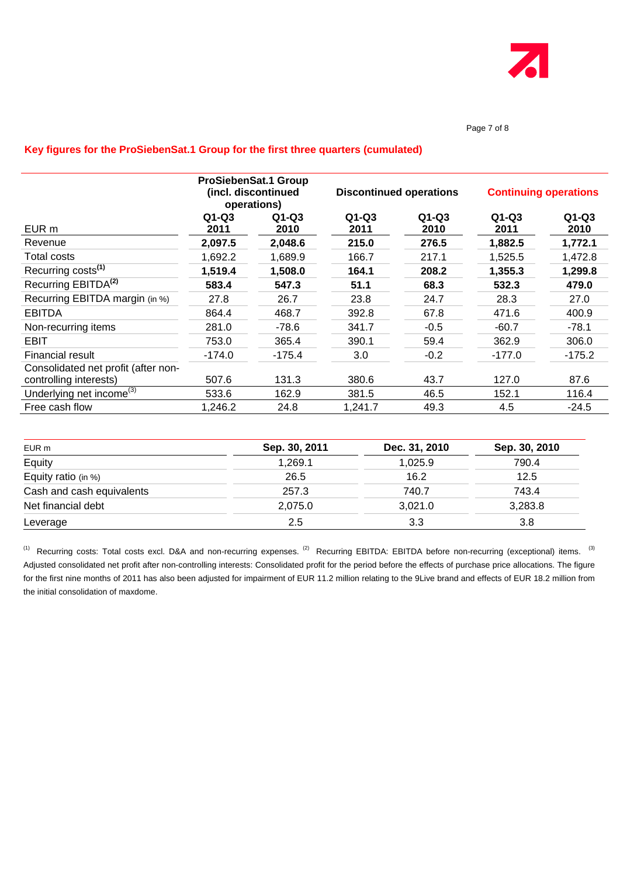

#### Page 7 of 8

# **Key figures for the ProSiebenSat.1 Group for the first three quarters (cumulated)**

|                                      | ProSiebenSat.1 Group<br>(incl. discontinued<br>operations) |                 | <b>Discontinued operations</b> |                 | <b>Continuing operations</b> |                 |
|--------------------------------------|------------------------------------------------------------|-----------------|--------------------------------|-----------------|------------------------------|-----------------|
| EUR m                                | $Q1-Q3$<br>2011                                            | $Q1-Q3$<br>2010 | $Q1-Q3$<br>2011                | $Q1-Q3$<br>2010 | $Q1-Q3$<br>2011              | $Q1-Q3$<br>2010 |
| Revenue                              | 2,097.5                                                    | 2,048.6         | 215.0                          | 276.5           | 1,882.5                      | 1,772.1         |
| Total costs                          | 1,692.2                                                    | 1,689.9         | 166.7                          | 217.1           | 1,525.5                      | 1,472.8         |
| Recurring costs <sup>(1)</sup>       | 1,519.4                                                    | 1,508.0         | 164.1                          | 208.2           | 1,355.3                      | 1,299.8         |
| Recurring EBITDA <sup>(2)</sup>      | 583.4                                                      | 547.3           | 51.1                           | 68.3            | 532.3                        | 479.0           |
| Recurring EBITDA margin (in %)       | 27.8                                                       | 26.7            | 23.8                           | 24.7            | 28.3                         | 27.0            |
| <b>EBITDA</b>                        | 864.4                                                      | 468.7           | 392.8                          | 67.8            | 471.6                        | 400.9           |
| Non-recurring items                  | 281.0                                                      | $-78.6$         | 341.7                          | $-0.5$          | $-60.7$                      | $-78.1$         |
| EBIT                                 | 753.0                                                      | 365.4           | 390.1                          | 59.4            | 362.9                        | 306.0           |
| Financial result                     | $-174.0$                                                   | $-175.4$        | 3.0                            | $-0.2$          | $-177.0$                     | $-175.2$        |
| Consolidated net profit (after non-  |                                                            |                 |                                |                 |                              |                 |
| controlling interests)               | 507.6                                                      | 131.3           | 380.6                          | 43.7            | 127.0                        | 87.6            |
| Underlying net income <sup>(3)</sup> | 533.6                                                      | 162.9           | 381.5                          | 46.5            | 152.1                        | 116.4           |
| Free cash flow                       | 1,246.2                                                    | 24.8            | 1,241.7                        | 49.3            | 4.5                          | $-24.5$         |

| EUR m                     | Sep. 30, 2011 | Dec. 31, 2010 | Sep. 30, 2010 |
|---------------------------|---------------|---------------|---------------|
| Equity                    | 1,269.1       | 1,025.9       | 790.4         |
| Equity ratio (in %)       | 26.5          | 16.2          | 12.5          |
| Cash and cash equivalents | 257.3         | 740.7         | 743.4         |
| Net financial debt        | 2,075.0       | 3,021.0       | 3,283.8       |
| Leverage                  | 2.5           | 3.3           | 3.8           |

<sup>(1)</sup> Recurring costs: Total costs excl. D&A and non-recurring expenses. <sup>(2)</sup> Recurring EBITDA: EBITDA before non-recurring (exceptional) items. <sup>(3)</sup> Adjusted consolidated net profit after non-controlling interests: Consolidated profit for the period before the effects of purchase price allocations. The figure for the first nine months of 2011 has also been adjusted for impairment of EUR 11.2 million relating to the 9Live brand and effects of EUR 18.2 million from the initial consolidation of maxdome.